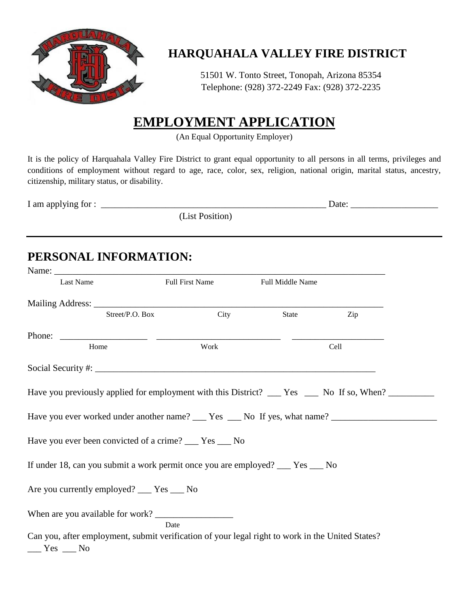

## **HARQUAHALA VALLEY FIRE DISTRICT**

51501 W. Tonto Street, Tonopah, Arizona 85354 Telephone: (928) 372-2249 Fax: (928) 372-2235

# **EMPLOYMENT APPLICATION**

(An Equal Opportunity Employer)

It is the policy of Harquahala Valley Fire District to grant equal opportunity to all persons in all terms, privileges and conditions of employment without regard to age, race, color, sex, religion, national origin, marital status, ancestry, citizenship, military status, or disability.

| I am applying for : |                | Date <sup>.</sup> |  |
|---------------------|----------------|-------------------|--|
|                     | List Position) |                   |  |

# **PERSONAL INFORMATION:**

| Last Name                                                                                                      | <b>Full First Name</b> | Full Middle Name |      |
|----------------------------------------------------------------------------------------------------------------|------------------------|------------------|------|
|                                                                                                                |                        |                  |      |
| Street/P.O. Box                                                                                                | City                   | State            | Zip  |
|                                                                                                                |                        |                  |      |
| Home                                                                                                           | Work                   |                  | Cell |
|                                                                                                                |                        |                  |      |
| Have you previously applied for employment with this District? ___ Yes ___ No If so, When? _________           |                        |                  |      |
|                                                                                                                |                        |                  |      |
| Have you ever worked under another name? ___ Yes ___ No If yes, what name? ___________________________________ |                        |                  |      |
| Have you ever been convicted of a crime? ___ Yes ___ No                                                        |                        |                  |      |
| If under 18, can you submit a work permit once you are employed? __ Yes __ No                                  |                        |                  |      |
| Are you currently employed? ___ Yes ___ No                                                                     |                        |                  |      |
|                                                                                                                |                        |                  |      |
| Can you, after employment, submit verification of your legal right to work in the United States?               | Date                   |                  |      |
| $Yes$ No                                                                                                       |                        |                  |      |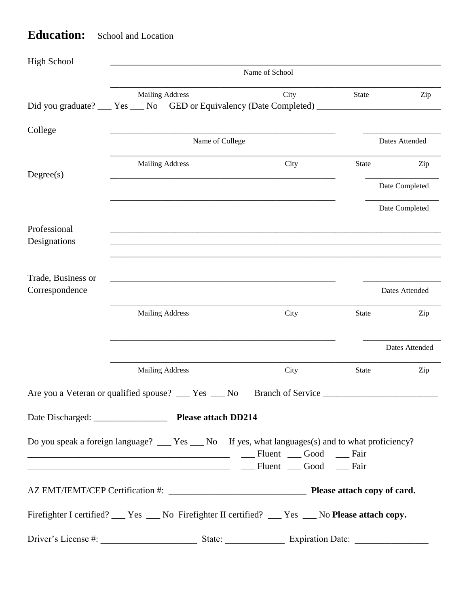#### **Education:** School and Location

| <b>High School</b>           |                                                                                                                                            |                                   |              |                |  |
|------------------------------|--------------------------------------------------------------------------------------------------------------------------------------------|-----------------------------------|--------------|----------------|--|
|                              | Name of School                                                                                                                             |                                   |              |                |  |
|                              | <b>Mailing Address</b>                                                                                                                     | City                              | State        | Zip            |  |
| College                      |                                                                                                                                            |                                   |              |                |  |
|                              | Name of College                                                                                                                            |                                   |              | Dates Attended |  |
| Degree(s)                    | <b>Mailing Address</b>                                                                                                                     | City                              | State        | Zip            |  |
|                              |                                                                                                                                            |                                   |              | Date Completed |  |
|                              |                                                                                                                                            |                                   |              | Date Completed |  |
| Professional<br>Designations |                                                                                                                                            |                                   |              |                |  |
| Trade, Business or           |                                                                                                                                            |                                   |              |                |  |
| Correspondence               |                                                                                                                                            |                                   |              | Dates Attended |  |
|                              | <b>Mailing Address</b>                                                                                                                     | City                              | State        | Zip            |  |
|                              |                                                                                                                                            |                                   |              | Dates Attended |  |
|                              | <b>Mailing Address</b>                                                                                                                     | City                              | <b>State</b> | Zip            |  |
|                              | Are you a Veteran or qualified spouse? ___ Yes __ No                                                                                       | Branch of Service                 |              |                |  |
|                              |                                                                                                                                            |                                   |              |                |  |
|                              | Do you speak a foreign language? ___ Yes ___ No If yes, what languages(s) and to what proficiency?<br>Fluent Good Fair<br>Fluent Good Fair |                                   |              |                |  |
|                              |                                                                                                                                            |                                   |              |                |  |
|                              | Firefighter I certified? __ Yes __ No Firefighter II certified? __ Yes __ No Please attach copy.                                           |                                   |              |                |  |
| Driver's License #:          |                                                                                                                                            | State:<br><b>Expiration Date:</b> |              |                |  |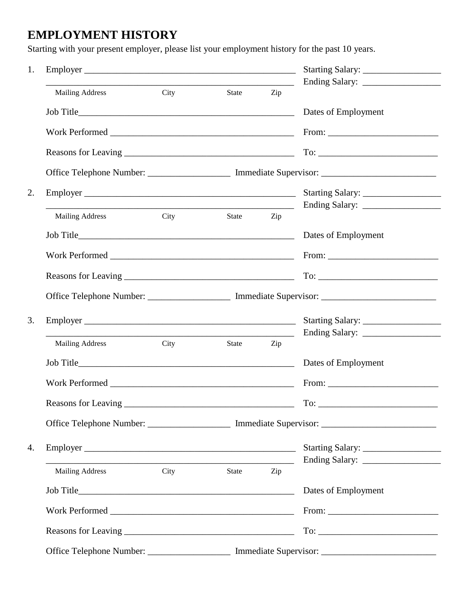### **EMPLOYMENT HISTORY**

Starting with your present employer, please list your employment history for the past 10 years.

| <b>Mailing Address</b> | City | State | Zip |                                                                                                                                                                                                                                                                                                                                                                                                               |
|------------------------|------|-------|-----|---------------------------------------------------------------------------------------------------------------------------------------------------------------------------------------------------------------------------------------------------------------------------------------------------------------------------------------------------------------------------------------------------------------|
|                        |      |       |     |                                                                                                                                                                                                                                                                                                                                                                                                               |
|                        |      |       |     |                                                                                                                                                                                                                                                                                                                                                                                                               |
|                        |      |       |     |                                                                                                                                                                                                                                                                                                                                                                                                               |
|                        |      |       |     | Office Telephone Number: ______________________ Immediate Supervisor: ______________________________                                                                                                                                                                                                                                                                                                          |
|                        |      |       |     |                                                                                                                                                                                                                                                                                                                                                                                                               |
| <b>Mailing Address</b> | City | State | Zip |                                                                                                                                                                                                                                                                                                                                                                                                               |
|                        |      |       |     | Dates of Employment                                                                                                                                                                                                                                                                                                                                                                                           |
|                        |      |       |     | From: $\frac{1}{\sqrt{1-\frac{1}{2}}\sqrt{1-\frac{1}{2}}\sqrt{1-\frac{1}{2}}\sqrt{1-\frac{1}{2}}\sqrt{1-\frac{1}{2}}\sqrt{1-\frac{1}{2}}\sqrt{1-\frac{1}{2}}\sqrt{1-\frac{1}{2}}\sqrt{1-\frac{1}{2}}\sqrt{1-\frac{1}{2}}\sqrt{1-\frac{1}{2}}\sqrt{1-\frac{1}{2}}\sqrt{1-\frac{1}{2}}\sqrt{1-\frac{1}{2}}\sqrt{1-\frac{1}{2}}\sqrt{1-\frac{1}{2}}\sqrt{1-\frac{1}{2}}\sqrt{1-\frac{1}{2}}\sqrt{1-\frac{1}{2}}$ |
|                        |      |       |     |                                                                                                                                                                                                                                                                                                                                                                                                               |
|                        |      |       |     | Office Telephone Number: ______________________ Immediate Supervisor: ______________________________                                                                                                                                                                                                                                                                                                          |
|                        |      |       |     |                                                                                                                                                                                                                                                                                                                                                                                                               |
| <b>Mailing Address</b> | City | State | Zip |                                                                                                                                                                                                                                                                                                                                                                                                               |
|                        |      |       |     | Dates of Employment                                                                                                                                                                                                                                                                                                                                                                                           |
|                        |      |       |     |                                                                                                                                                                                                                                                                                                                                                                                                               |
| Reasons for Leaving    |      |       |     | $\text{To:}\_\_\_\_\_\_\_\$                                                                                                                                                                                                                                                                                                                                                                                   |
|                        |      |       |     | Office Telephone Number: _______________________ Immediate Supervisor: _____________________________                                                                                                                                                                                                                                                                                                          |
|                        |      |       |     |                                                                                                                                                                                                                                                                                                                                                                                                               |
| Mailing Address City   |      | State | Zip |                                                                                                                                                                                                                                                                                                                                                                                                               |
|                        |      |       |     |                                                                                                                                                                                                                                                                                                                                                                                                               |
|                        |      |       |     | From: $\frac{1}{\sqrt{1-\frac{1}{2}}\sqrt{1-\frac{1}{2}}\sqrt{1-\frac{1}{2}}\sqrt{1-\frac{1}{2}}\sqrt{1-\frac{1}{2}}\sqrt{1-\frac{1}{2}}\sqrt{1-\frac{1}{2}}\sqrt{1-\frac{1}{2}}\sqrt{1-\frac{1}{2}}\sqrt{1-\frac{1}{2}}\sqrt{1-\frac{1}{2}}\sqrt{1-\frac{1}{2}}\sqrt{1-\frac{1}{2}}\sqrt{1-\frac{1}{2}}\sqrt{1-\frac{1}{2}}\sqrt{1-\frac{1}{2}}\sqrt{1-\frac{1}{2}}\sqrt{1-\frac{1}{2}}\sqrt{1-\frac{1}{2}}$ |
|                        |      |       |     |                                                                                                                                                                                                                                                                                                                                                                                                               |
|                        |      |       |     | Office Telephone Number: ______________________ Immediate Supervisor: _____________________________                                                                                                                                                                                                                                                                                                           |